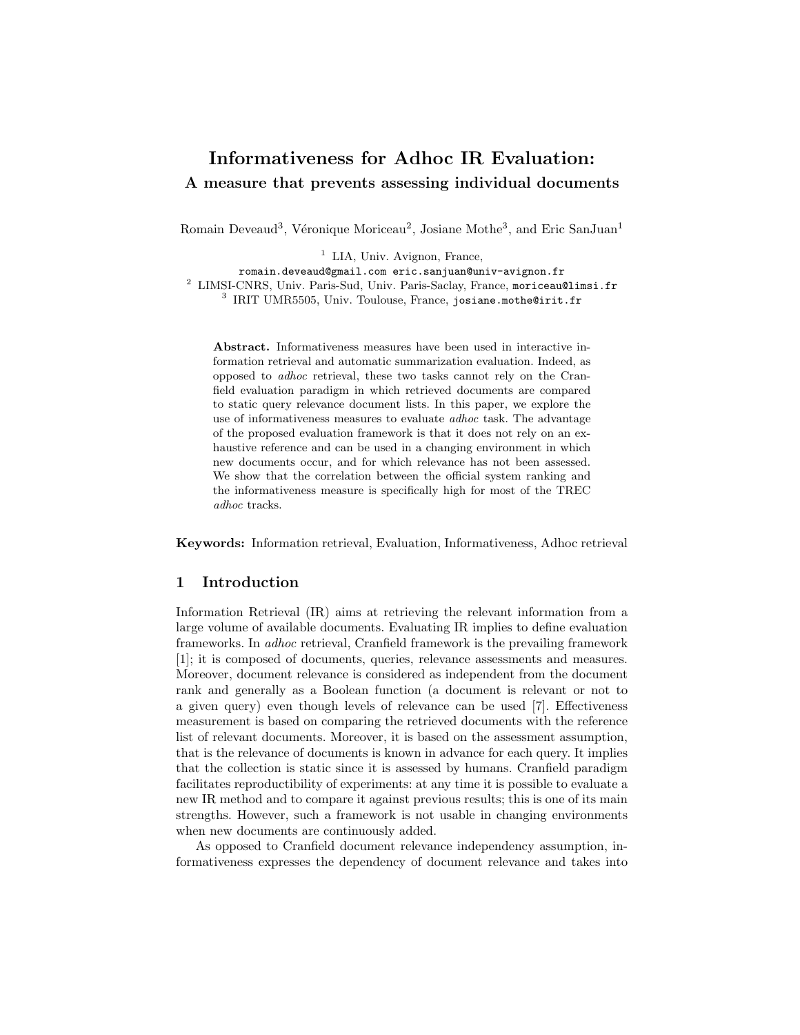# Informativeness for Adhoc IR Evaluation: A measure that prevents assessing individual documents

Romain Deveaud<sup>3</sup>, Véronique Moriceau<sup>2</sup>, Josiane Mothe<sup>3</sup>, and Eric SanJuan<sup>1</sup>

<sup>1</sup> LIA, Univ. Avignon, France,

romain.deveaud@gmail.com eric.sanjuan@univ-avignon.fr

<sup>2</sup> LIMSI-CNRS, Univ. Paris-Sud, Univ. Paris-Saclay, France, moriceau@limsi.fr

<sup>3</sup> IRIT UMR5505, Univ. Toulouse, France, josiane.mothe@irit.fr

Abstract. Informativeness measures have been used in interactive information retrieval and automatic summarization evaluation. Indeed, as opposed to adhoc retrieval, these two tasks cannot rely on the Cranfield evaluation paradigm in which retrieved documents are compared to static query relevance document lists. In this paper, we explore the use of informativeness measures to evaluate adhoc task. The advantage of the proposed evaluation framework is that it does not rely on an exhaustive reference and can be used in a changing environment in which new documents occur, and for which relevance has not been assessed. We show that the correlation between the official system ranking and the informativeness measure is specifically high for most of the TREC adhoc tracks.

Keywords: Information retrieval, Evaluation, Informativeness, Adhoc retrieval

## 1 Introduction

Information Retrieval (IR) aims at retrieving the relevant information from a large volume of available documents. Evaluating IR implies to define evaluation frameworks. In adhoc retrieval, Cranfield framework is the prevailing framework [\[1\]](#page-5-0); it is composed of documents, queries, relevance assessments and measures. Moreover, document relevance is considered as independent from the document rank and generally as a Boolean function (a document is relevant or not to a given query) even though levels of relevance can be used [\[7\]](#page-5-1). Effectiveness measurement is based on comparing the retrieved documents with the reference list of relevant documents. Moreover, it is based on the assessment assumption, that is the relevance of documents is known in advance for each query. It implies that the collection is static since it is assessed by humans. Cranfield paradigm facilitates reproductibility of experiments: at any time it is possible to evaluate a new IR method and to compare it against previous results; this is one of its main strengths. However, such a framework is not usable in changing environments when new documents are continuously added.

As opposed to Cranfield document relevance independency assumption, informativeness expresses the dependency of document relevance and takes into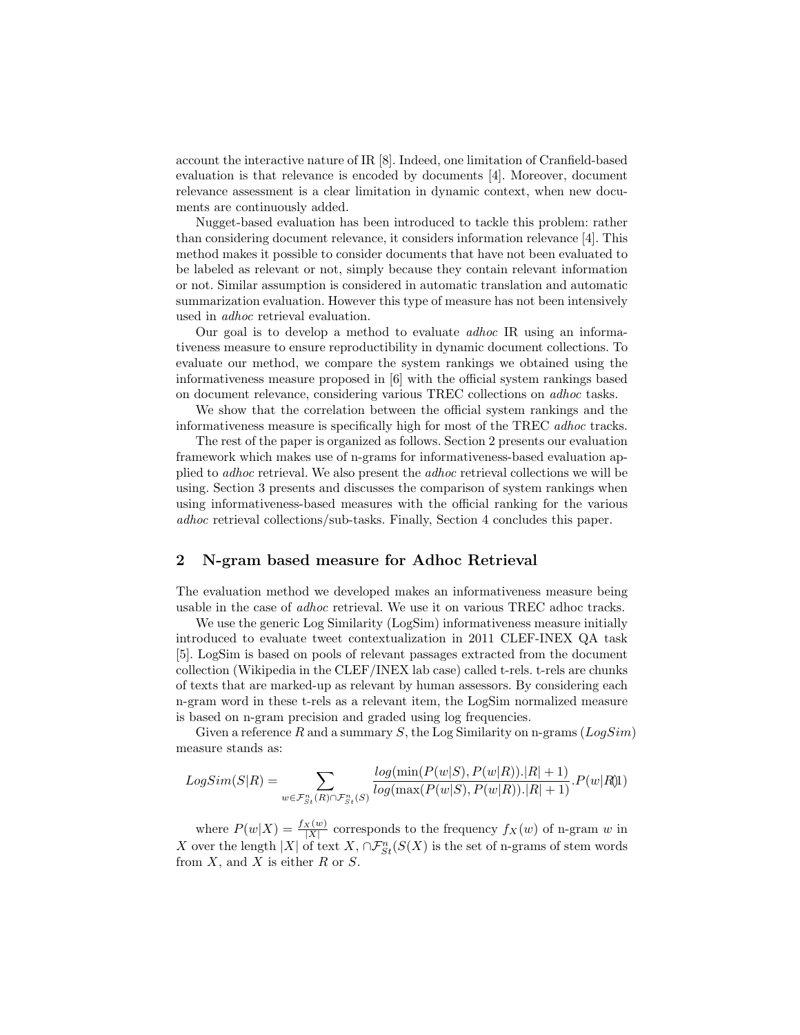account the interactive nature of IR [\[8\]](#page-5-2). Indeed, one limitation of Cranfield-based evaluation is that relevance is encoded by documents [\[4\]](#page-5-3). Moreover, document relevance assessment is a clear limitation in dynamic context, when new documents are continuously added.

Nugget-based evaluation has been introduced to tackle this problem: rather than considering document relevance, it considers information relevance [\[4\]](#page-5-3). This method makes it possible to consider documents that have not been evaluated to be labeled as relevant or not, simply because they contain relevant information or not. Similar assumption is considered in automatic translation and automatic summarization evaluation. However this type of measure has not been intensively used in adhoc retrieval evaluation.

Our goal is to develop a method to evaluate adhoc IR using an informativeness measure to ensure reproductibility in dynamic document collections. To evaluate our method, we compare the system rankings we obtained using the informativeness measure proposed in [\[6\]](#page-5-4) with the official system rankings based on document relevance, considering various TREC collections on adhoc tasks.

We show that the correlation between the official system rankings and the informativeness measure is specifically high for most of the TREC adhoc tracks.

The rest of the paper is organized as follows. Section [2](#page-1-0) presents our evaluation framework which makes use of n-grams for informativeness-based evaluation applied to adhoc retrieval. We also present the adhoc retrieval collections we will be using. Section [3](#page-4-0) presents and discusses the comparison of system rankings when using informativeness-based measures with the official ranking for the various adhoc retrieval collections/sub-tasks. Finally, Section [4](#page-5-5) concludes this paper.

# <span id="page-1-0"></span>2 N-gram based measure for Adhoc Retrieval

The evaluation method we developed makes an informativeness measure being usable in the case of adhoc retrieval. We use it on various TREC adhoc tracks.

We use the generic Log Similarity (LogSim) informativeness measure initially introduced to evaluate tweet contextualization in 2011 CLEF-INEX QA task [\[5\]](#page-5-6). LogSim is based on pools of relevant passages extracted from the document collection (Wikipedia in the CLEF/INEX lab case) called t-rels. t-rels are chunks of texts that are marked-up as relevant by human assessors. By considering each n-gram word in these t-rels as a relevant item, the LogSim normalized measure is based on n-gram precision and graded using log frequencies.

Given a reference R and a summary S, the Log Similarity on n-grams  $(LogSim)$ measure stands as:

$$
LogSim(S|R) = \sum_{w \in \mathcal{F}_{St}^n(R) \cap \mathcal{F}_{St}^n(S)} \frac{log(\min(P(w|S), P(w|R)).|R| + 1)}{log(\max(P(w|S), P(w|R)).|R| + 1)} \cdot P(w|R|1)
$$

where  $P(w|X) = \frac{f_X(w)}{|X|}$  corresponds to the frequency  $f_X(w)$  of n-gram w in X over the length  $|X|$  of text  $X, \cap \mathcal{F}_{St}^n(S(X))$  is the set of n-grams of stem words from  $X$ , and  $X$  is either  $R$  or  $S$ .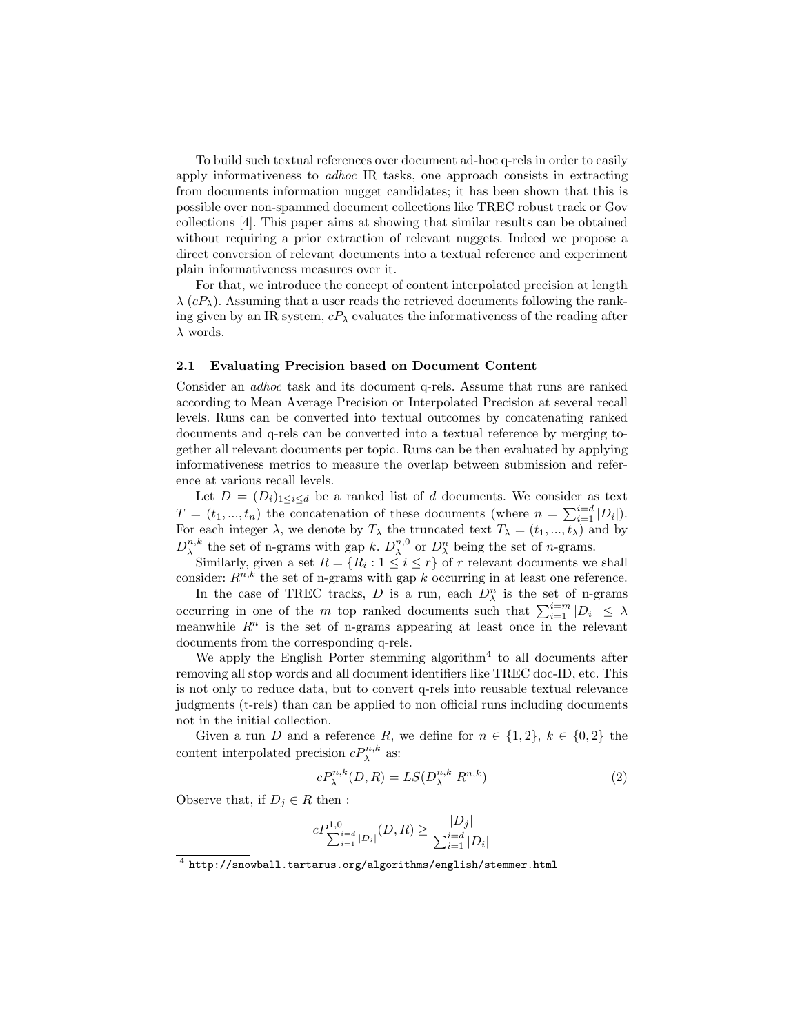To build such textual references over document ad-hoc q-rels in order to easily apply informativeness to adhoc IR tasks, one approach consists in extracting from documents information nugget candidates; it has been shown that this is possible over non-spammed document collections like TREC robust track or Gov collections [\[4\]](#page-5-3). This paper aims at showing that similar results can be obtained without requiring a prior extraction of relevant nuggets. Indeed we propose a direct conversion of relevant documents into a textual reference and experiment plain informativeness measures over it.

For that, we introduce the concept of content interpolated precision at length  $\lambda$  (cP<sub> $\lambda$ </sub>). Assuming that a user reads the retrieved documents following the ranking given by an IR system,  $cP_\lambda$  evaluates the informativeness of the reading after  $\lambda$  words.

#### 2.1 Evaluating Precision based on Document Content

Consider an adhoc task and its document q-rels. Assume that runs are ranked according to Mean Average Precision or Interpolated Precision at several recall levels. Runs can be converted into textual outcomes by concatenating ranked documents and q-rels can be converted into a textual reference by merging together all relevant documents per topic. Runs can be then evaluated by applying informativeness metrics to measure the overlap between submission and reference at various recall levels.

Let  $D = (D_i)_{1 \leq i \leq d}$  be a ranked list of d documents. We consider as text  $T = (t_1, ..., t_n)$  the concatenation of these documents (where  $n = \sum_{i=1}^{i=d} |D_i|$ ). For each integer  $\lambda$ , we denote by  $T_{\lambda}$  the truncated text  $T_{\lambda} = (t_1, ..., t_{\lambda})$  and by  $D_{\lambda}^{n,k}$  the set of n-grams with gap k.  $D_{\lambda}^{n,0}$  or  $D_{\lambda}^{n}$  being the set of n-grams.

Similarly, given a set  $R = \{R_i : 1 \le i \le r\}$  of r relevant documents we shall consider:  $R^{n,k}$  the set of n-grams with gap k occurring in at least one reference.

In the case of TREC tracks, D is a run, each  $D_{\lambda}^{n}$  is the set of n-grams occurring in one of the m top ranked documents such that  $\sum_{i=1}^{i=m} |D_i| \leq \lambda$ meanwhile  $R^n$  is the set of n-grams appearing at least once in the relevant documents from the corresponding q-rels.

We apply the English Porter stemming algorithm<sup>[4](#page-2-0)</sup> to all documents after removing all stop words and all document identifiers like TREC doc-ID, etc. This is not only to reduce data, but to convert q-rels into reusable textual relevance judgments (t-rels) than can be applied to non official runs including documents not in the initial collection.

Given a run D and a reference R, we define for  $n \in \{1,2\}, k \in \{0,2\}$  the content interpolated precision  $cP_{\lambda}^{n,k}$  as:

$$
cP_{\lambda}^{n,k}(D,R) = LS(D_{\lambda}^{n,k}|R^{n,k})
$$
\n(2)

Observe that, if  $D_j \in R$  then :

$$
cP^{1,0}_{\sum_{i=1}^{i=d}|D_i|}(D,R) \ge \frac{|D_j|}{\sum_{i=1}^{i=d}|D_i|}
$$

<span id="page-2-0"></span><sup>4</sup> [http://snowball.tartarus.org/algorithms/english/stemmer.html]( http://snowball.tartarus.org/algorithms/english/stemmer.html)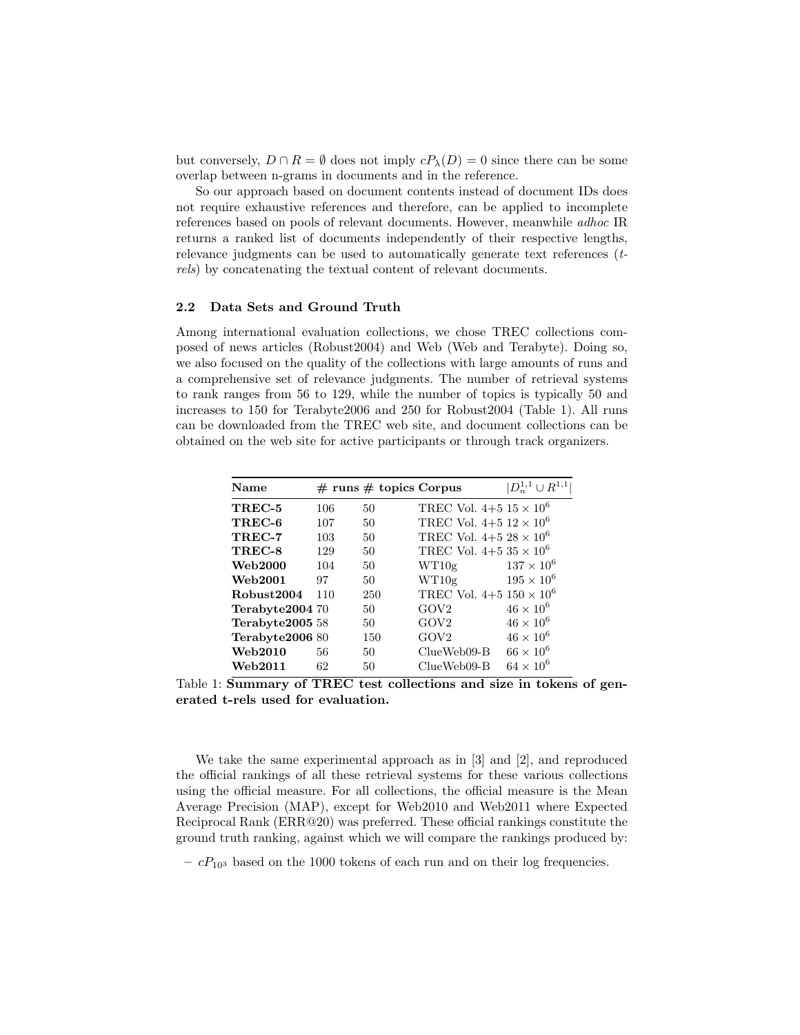but conversely,  $D \cap R = \emptyset$  does not imply  $cP_{\lambda}(D) = 0$  since there can be some overlap between n-grams in documents and in the reference.

So our approach based on document contents instead of document IDs does not require exhaustive references and therefore, can be applied to incomplete references based on pools of relevant documents. However, meanwhile adhoc IR returns a ranked list of documents independently of their respective lengths, relevance judgments can be used to automatically generate text references (trels) by concatenating the textual content of relevant documents.

#### 2.2 Data Sets and Ground Truth

Among international evaluation collections, we chose TREC collections composed of news articles (Robust2004) and Web (Web and Terabyte). Doing so, we also focused on the quality of the collections with large amounts of runs and a comprehensive set of relevance judgments. The number of retrieval systems to rank ranges from 56 to 129, while the number of topics is typically 50 and increases to 150 for Terabyte2006 and 250 for Robust2004 (Table [1\)](#page-3-0). All runs can be downloaded from the TREC web site, and document collections can be obtained on the web site for active participants or through track organizers.

<span id="page-3-0"></span>

| Name              |     | $#$ runs $#$ topics Corpus |                                  | $D_n^{1,1} \cup R^{1,1}$ |
|-------------------|-----|----------------------------|----------------------------------|--------------------------|
| TREC-5            | 106 | 50                         | TREC Vol. 4+5 $15 \times 10^6$   |                          |
| TREC-6            | 107 | 50                         | TREC Vol. $4+5$ $12 \times 10^6$ |                          |
| TREC-7            | 103 | 50                         | TREC Vol. $4+5.28 \times 10^6$   |                          |
| TREC-8            | 129 | 50                         | TREC Vol. $4+5.35 \times 10^6$   |                          |
| <b>Web2000</b>    | 104 | 50                         | WT10g                            | $137 \times 10^{6}$      |
| <b>Web2001</b>    | 97  | 50                         | WT10g                            | $195 \times 10^{6}$      |
| Robust2004        | 110 | 250                        | TREC Vol. 4+5 $150 \times 10^6$  |                          |
| Terabyte2004 70   |     | 50                         | GOV <sub>2</sub>                 | $46 \times 10^{6}$       |
| Terabyte2005 58   |     | 50                         | GOV <sub>2</sub>                 | $46 \times 10^6$         |
| Terabyte $200680$ |     | 150                        | GOV <sub>2</sub>                 | $46 \times 10^6$         |
| <b>Web2010</b>    | 56  | 50                         | ClueWeb09-B                      | $66 \times 10^6$         |
| <b>Web2011</b>    | 62  | 50                         | ClueWeb09-B                      | $64 \times 10^{6}$       |

Table 1: Summary of TREC test collections and size in tokens of generated t-rels used for evaluation.

We take the same experimental approach as in [\[3\]](#page-5-7) and [\[2\]](#page-5-8), and reproduced the official rankings of all these retrieval systems for these various collections using the official measure. For all collections, the official measure is the Mean Average Precision (MAP), except for Web2010 and Web2011 where Expected Reciprocal Rank (ERR@20) was preferred. These official rankings constitute the ground truth ranking, against which we will compare the rankings produced by:

–  $cP_{10}$ <sup>3</sup> based on the 1000 tokens of each run and on their log frequencies.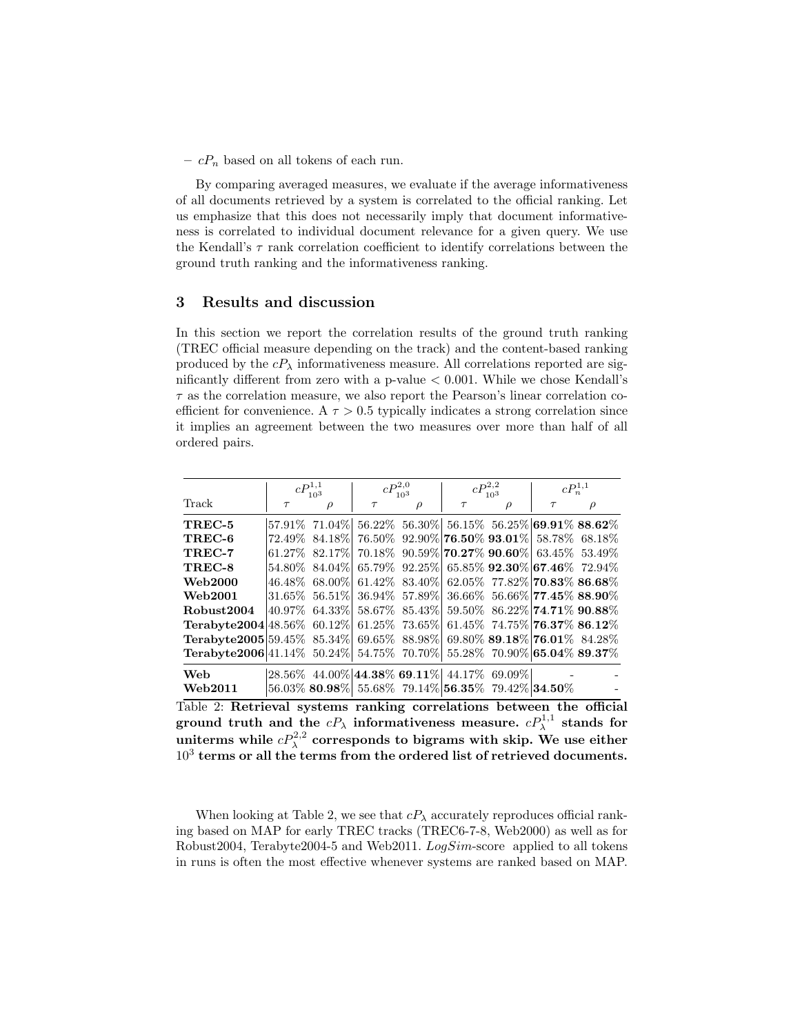–  $cP_n$  based on all tokens of each run.

By comparing averaged measures, we evaluate if the average informativeness of all documents retrieved by a system is correlated to the official ranking. Let us emphasize that this does not necessarily imply that document informativeness is correlated to individual document relevance for a given query. We use the Kendall's  $\tau$  rank correlation coefficient to identify correlations between the ground truth ranking and the informativeness ranking.

## <span id="page-4-0"></span>3 Results and discussion

In this section we report the correlation results of the ground truth ranking (TREC official measure depending on the track) and the content-based ranking produced by the  $cP_\lambda$  informativeness measure. All correlations reported are significantly different from zero with a p-value  $< 0.001$ . While we chose Kendall's  $\tau$  as the correlation measure, we also report the Pearson's linear correlation coefficient for convenience. A  $\tau > 0.5$  typically indicates a strong correlation since it implies an agreement between the two measures over more than half of all ordered pairs.

<span id="page-4-1"></span>

|                                                                                     | $cP_{103}^{1,1}$ |  | $cP^{2,0}_{10^3}$                                                                                                           |  | $cP_{10^3}^{2,2}$ |  | $cP_n^{1,1}$ |  |
|-------------------------------------------------------------------------------------|------------------|--|-----------------------------------------------------------------------------------------------------------------------------|--|-------------------|--|--------------|--|
| Track                                                                               | $\tau$           |  | $\tau$                                                                                                                      |  | $\tau$            |  | $\tau$       |  |
| TREC-5                                                                              |                  |  | $ 57.91\%$ 71.04\% $ 56.22\%$ 56.30\% $ 56.15\%$ 56.25\% $ 69.91\%$ 88.62\%                                                 |  |                   |  |              |  |
| TREC-6                                                                              |                  |  | $72.49\%$ 84.18% $76.50\%$ 92.90% $76.50\%$ 93.01% 58.78% 68.18%                                                            |  |                   |  |              |  |
| TREC-7                                                                              |                  |  | $61.27\%$ 82.17% 70.18% 90.59% 70.27% 90.60% 63.45% 53.49%                                                                  |  |                   |  |              |  |
| TREC-8                                                                              |                  |  | 54.80% 84.04% 65.79% 92.25% 65.85% 92.30% 67.46% 72.94%                                                                     |  |                   |  |              |  |
| <b>Web2000</b>                                                                      |                  |  | $ 46.48\%$ 68.00\% 61.42\% 83.40\% 62.05\% 77.82\% 70.83\% 86.68\%                                                          |  |                   |  |              |  |
| <b>Web2001</b>                                                                      |                  |  | $31.65\%$ 56.51\% 36.94\% 57.89\% 36.66\% 56.66\% 77.45\% 88.90\%                                                           |  |                   |  |              |  |
| Robust2004                                                                          |                  |  | $\left 40.97\% \right $ 64.33% $\left 58.67\% \right $ 85.43% $\left 59.50\% \right $ 86.22% $\left 74.71\% \right $ 90.88% |  |                   |  |              |  |
| <b>Terabyte2004</b> 48.56% 60.12% 61.25% 73.65% 61.45% 74.75% <b>76.37% 86.12</b> % |                  |  |                                                                                                                             |  |                   |  |              |  |
| Terabyte2005 $ 59.45\%$ 85.34% 69.65% 88.98% 69.80% 89.18% 76.01% 84.28%            |                  |  |                                                                                                                             |  |                   |  |              |  |
| Terabyte2006 41.14% 50.24% 54.75% 70.70% 55.28% 70.90% 65.04% 89.37%                |                  |  |                                                                                                                             |  |                   |  |              |  |
| Web                                                                                 |                  |  | $\left  28.56\% \right  44.00\% \left  44.38\% \right  69.11\% \left  44.17\% \right  69.09\% \right $                      |  |                   |  |              |  |
| <b>Web2011</b>                                                                      |                  |  | $56.03\%$ 80.98\% 55.68\% 79.14\% 56.35\% 79.42\% 34.50\%                                                                   |  |                   |  |              |  |

Table 2: Retrieval systems ranking correlations between the official ground truth and the  $cP_\lambda$  informativeness measure.  $cP_\lambda^{1,1}$  stands for uniterms while  $cP_{\lambda}^{2,2}$  corresponds to bigrams with skip. We use either  $10^3$  terms or all the terms from the ordered list of retrieved documents.

When looking at Table [2,](#page-4-1) we see that  $cP_\lambda$  accurately reproduces official ranking based on MAP for early TREC tracks (TREC6-7-8, Web2000) as well as for Robust2004, Terabyte2004-5 and Web2011. LogSim-score applied to all tokens in runs is often the most effective whenever systems are ranked based on MAP.